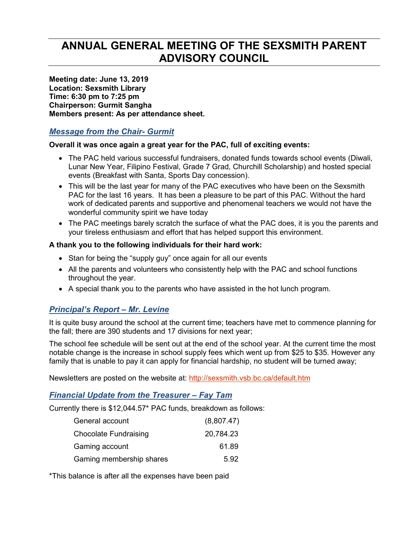# **ANNUAL GENERAL MEETING OF THE SEXSMITH PARENT ADVISORY COUNCIL**

**Meeting date: June 13, 2019 Location: Sexsmith Library Time: 6:30 pm to 7:25 pm Chairperson: Gurmit Sangha Members present: As per attendance sheet.** 

# *Message from the Chair- Gurmit*

#### **Overall it was once again a great year for the PAC, full of exciting events:**

- The PAC held various successful fundraisers, donated funds towards school events (Diwali, Lunar New Year, Filipino Festival, Grade 7 Grad, Churchill Scholarship) and hosted special events (Breakfast with Santa, Sports Day concession).
- This will be the last year for many of the PAC executives who have been on the Sexsmith PAC for the last 16 years. It has been a pleasure to be part of this PAC. Without the hard work of dedicated parents and supportive and phenomenal teachers we would not have the wonderful community spirit we have today
- The PAC meetings barely scratch the surface of what the PAC does, it is you the parents and your tireless enthusiasm and effort that has helped support this environment.

#### **A thank you to the following individuals for their hard work:**

- Stan for being the "supply guy" once again for all our events
- All the parents and volunteers who consistently help with the PAC and school functions throughout the year.
- A special thank you to the parents who have assisted in the hot lunch program.

# *Principal's Report – Mr. Levine*

It is quite busy around the school at the current time; teachers have met to commence planning for the fall; there are 390 students and 17 divisions for next year;

The school fee schedule will be sent out at the end of the school year. At the current time the most notable change is the increase in school supply fees which went up from \$25 to \$35. However any family that is unable to pay it can apply for financial hardship, no student will be turned away;

Newsletters are posted on the website at: http://sexsmith.vsb.bc.ca/default.htm

# *Financial Update from the Treasurer – Fay Tam*

Currently there is \$12,044.57\* PAC funds, breakdown as follows:

| General account              | (8,807.47) |
|------------------------------|------------|
| <b>Chocolate Fundraising</b> | 20,784.23  |
| Gaming account               | 61.89      |
| Gaming membership shares     | 5.92       |

\*This balance is after all the expenses have been paid